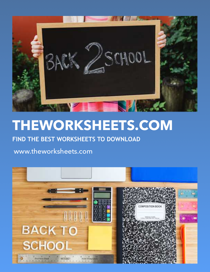

## **THEWORKSHEETS.COM**

## **FIND THE BEST WORKSHEETS TO DOWNLOAD**

## www.theworksheets.com

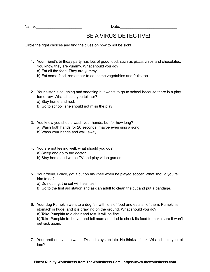Name: where the contract of the contract of the Date:

## BE A VIRUS DETECTIVE!

Circle the right choices and find the clues on how to not be sick!

- 1. Your friend's birthday party has lots of good food, such as pizza, chips and chocolates. You know they are yummy. What should you do? a) Eat all the food! They are yummy! b) Eat some food, remember to eat some vegetables and fruits too.
- 2. Your sister is coughing and sneezing but wants to go to school because there is a play tomorrow. What should you tell her? a) Stay home and rest.
	- b) Go to school, she should not miss the play!
- 3. You know you should wash your hands, but for how long? a) Wash both hands for 20 seconds, maybe even sing a song. b) Wash your hands and walk away.
- 4. You are not feeling well, what should you do? a) Sleep and go to the doctor. b) Stay home and watch TV and play video games.
- 5. Your friend, Bruce, got a cut on his knee when he played soccer. What should you tell him to do? a) Do nothing, the cut will heal itself.
	- b) Go to the first aid station and ask an adult to clean the cut and put a bandage.
- 6. Your dog Pumpkin went to a dog fair with lots of food and eats all of them. Pumpkin's stomach is huge, and it is crawling on the ground. What should you do? a) Take Pumpkin to a chair and rest, it will be fine. b) Take Pumpkin to the vet and tell mum and dad to check its food to make sure it won't get sick again.
- 7. Your brother loves to watch TV and stays up late. He thinks it is ok. What should you tell him?